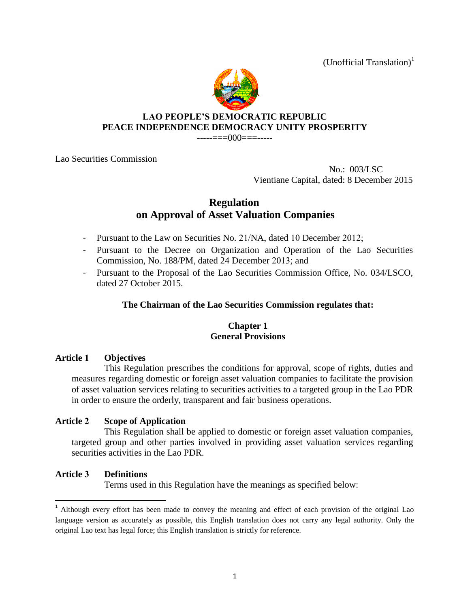(Unofficial Translation)<sup>1</sup>



# **LAO PEOPLE'S DEMOCRATIC REPUBLIC PEACE INDEPENDENCE DEMOCRACY UNITY PROSPERITY**

-----===000===-----

Lao Securities Commission

 No.: 003/LSC Vientiane Capital, dated: 8 December 2015

# **Regulation on Approval of Asset Valuation Companies**

- Pursuant to the Law on Securities No. 21/NA, dated 10 December 2012;
- Pursuant to the Decree on Organization and Operation of the Lao Securities Commission, No. 188/PM, dated 24 December 2013; and
- Pursuant to the Proposal of the Lao Securities Commission Office, No. 034/LSCO, dated 27 October 2015.

# **The Chairman of the Lao Securities Commission regulates that:**

# **Chapter 1 General Provisions**

# **Article 1 Objectives**

This Regulation prescribes the conditions for approval, scope of rights, duties and measures regarding domestic or foreign asset valuation companies to facilitate the provision of asset valuation services relating to securities activities to a targeted group in the Lao PDR in order to ensure the orderly, transparent and fair business operations.

# **Article 2 Scope of Application**

This Regulation shall be applied to domestic or foreign asset valuation companies, targeted group and other parties involved in providing asset valuation services regarding securities activities in the Lao PDR.

# **Article 3 Definitions**

 $\overline{\phantom{a}}$ 

Terms used in this Regulation have the meanings as specified below:

<sup>&</sup>lt;sup>1</sup> Although every effort has been made to convey the meaning and effect of each provision of the original Lao language version as accurately as possible, this English translation does not carry any legal authority. Only the original Lao text has legal force; this English translation is strictly for reference.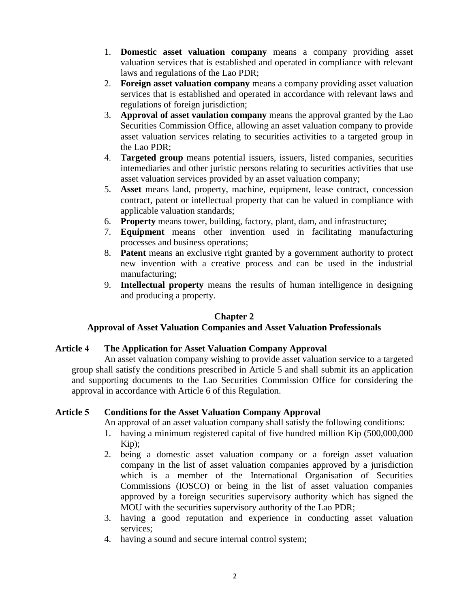- 1. **Domestic asset valuation company** means a company providing asset valuation services that is established and operated in compliance with relevant laws and regulations of the Lao PDR;
- 2. **Foreign asset valuation company** means a company providing asset valuation services that is established and operated in accordance with relevant laws and regulations of foreign jurisdiction;
- 3. **Approval of asset vaulation company** means the approval granted by the Lao Securities Commission Office, allowing an asset valuation company to provide asset valuation services relating to securities activities to a targeted group in the Lao PDR;
- 4. **Targeted group** means potential issuers, issuers, listed companies, securities intemediaries and other juristic persons relating to securities activities that use asset valuation services provided by an asset valuation company;
- 5. **Asset** means land, property, machine, equipment, lease contract, concession contract, patent or intellectual property that can be valued in compliance with applicable valuation standards;
- 6. **Property** means tower, building, factory, plant, dam, and infrastructure;
- 7. **Equipment** means other invention used in facilitating manufacturing processes and business operations;
- 8. **Patent** means an exclusive right granted by a government authority to protect new invention with a creative process and can be used in the industrial manufacturing;
- 9. **Intellectual property** means the results of human intelligence in designing and producing a property.

### **Chapter 2**

# **Approval of Asset Valuation Companies and Asset Valuation Professionals**

### **Article 4 The Application for Asset Valuation Company Approval**

An asset valuation company wishing to provide asset valuation service to a targeted group shall satisfy the conditions prescribed in Article 5 and shall submit its an application and supporting documents to the Lao Securities Commission Office for considering the approval in accordance with Article 6 of this Regulation.

#### **Article 5 Conditions for the Asset Valuation Company Approval**

An approval of an asset valuation company shall satisfy the following conditions:

- 1. having a minimum registered capital of five hundred million Kip (500,000,000 Kip);
- 2. being a domestic asset valuation company or a foreign asset valuation company in the list of asset valuation companies approved by a jurisdiction which is a member of the International Organisation of Securities Commissions (IOSCO) or being in the list of asset valuation companies approved by a foreign securities supervisory authority which has signed the MOU with the securities supervisory authority of the Lao PDR;
- 3. having a good reputation and experience in conducting asset valuation services;
- 4. having a sound and secure internal control system;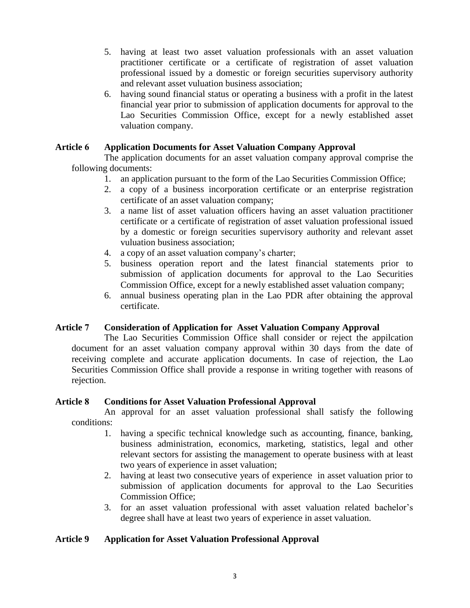- 5. having at least two asset valuation professionals with an asset valuation practitioner certificate or a certificate of registration of asset valuation professional issued by a domestic or foreign securities supervisory authority and relevant asset vuluation business association;
- 6. having sound financial status or operating a business with a profit in the latest financial year prior to submission of application documents for approval to the Lao Securities Commission Office, except for a newly established asset valuation company.

### **Article 6 Application Documents for Asset Valuation Company Approval**

The application documents for an asset valuation company approval comprise the following documents:

- 1. an application pursuant to the form of the Lao Securities Commission Office;
- 2. a copy of a business incorporation certificate or an enterprise registration certificate of an asset valuation company;
- 3. a name list of asset valuation officers having an asset valuation practitioner certificate or a certificate of registration of asset valuation professional issued by a domestic or foreign securities supervisory authority and relevant asset vuluation business association;
- 4. a copy of an asset valuation company's charter;
- 5. business operation report and the latest financial statements prior to submission of application documents for approval to the Lao Securities Commission Office, except for a newly established asset valuation company;
- 6. annual business operating plan in the Lao PDR after obtaining the approval certificate.

### **Article 7 Consideration of Application for Asset Valuation Company Approval**

The Lao Securities Commission Office shall consider or reject the appilcation document for an asset valuation company approval within 30 days from the date of receiving complete and accurate application documents. In case of rejection, the Lao Securities Commission Office shall provide a response in writing together with reasons of rejection.

### **Article 8 Conditions for Asset Valuation Professional Approval**

An approval for an asset valuation professional shall satisfy the following conditions:

- 1. having a specific technical knowledge such as accounting, finance, banking, business administration, economics, marketing, statistics, legal and other relevant sectors for assisting the management to operate business with at least two years of experience in asset valuation;
- 2. having at least two consecutive years of experience in asset valuation prior to submission of application documents for approval to the Lao Securities Commission Office;
- 3. for an asset valuation professional with asset valuation related bachelor's degree shall have at least two years of experience in asset valuation.

# **Article 9 Application for Asset Valuation Professional Approval**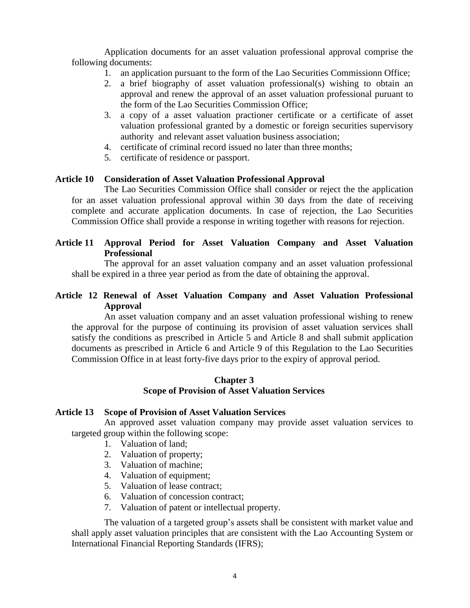Application documents for an asset valuation professional approval comprise the following documents:

- 1. an application pursuant to the form of the Lao Securities Commissionn Office;
- 2. a brief biography of asset valuation professional(s) wishing to obtain an approval and renew the approval of an asset valuation professional puruant to the form of the Lao Securities Commission Office;
- 3. a copy of a asset valuation practioner certificate or a certificate of asset valuation professional granted by a domestic or foreign securities supervisory authority and relevant asset valuation business association;
- 4. certificate of criminal record issued no later than three months;
- 5. certificate of residence or passport.

#### **Article 10 Consideration of Asset Valuation Professional Approval**

The Lao Securities Commission Office shall consider or reject the the application for an asset valuation professional approval within 30 days from the date of receiving complete and accurate application documents. In case of rejection, the Lao Securities Commission Office shall provide a response in writing together with reasons for rejection.

# **Article 11 Approval Period for Asset Valuation Company and Asset Valuation Professional**

The approval for an asset valuation company and an asset valuation professional shall be expired in a three year period as from the date of obtaining the approval.

### **Article 12 Renewal of Asset Valuation Company and Asset Valuation Professional Approval**

An asset valuation company and an asset valuation professional wishing to renew the approval for the purpose of continuing its provision of asset valuation services shall satisfy the conditions as prescribed in Article 5 and Article 8 and shall submit application documents as prescribed in Article 6 and Article 9 of this Regulation to the Lao Securities Commission Office in at least forty-five days prior to the expiry of approval period.

#### **Chapter 3 Scope of Provision of Asset Valuation Services**

#### **Article 13 Scope of Provision of Asset Valuation Services**

An approved asset valuation company may provide asset valuation services to targeted group within the following scope:

- 1. Valuation of land;
- 2. Valuation of property;
- 3. Valuation of machine;
- 4. Valuation of equipment;
- 5. Valuation of lease contract;
- 6. Valuation of concession contract;
- 7. Valuation of patent or intellectual property.

The valuation of a targeted group's assets shall be consistent with market value and shall apply asset valuation principles that are consistent with the Lao Accounting System or International Financial Reporting Standards (IFRS);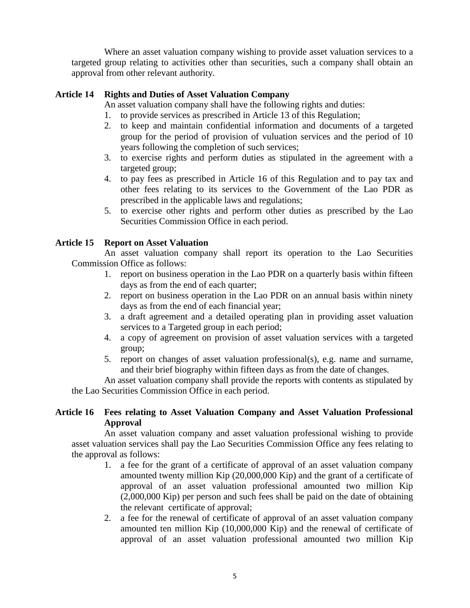Where an asset valuation company wishing to provide asset valuation services to a targeted group relating to activities other than securities, such a company shall obtain an approval from other relevant authority.

### **Article 14 Rights and Duties of Asset Valuation Company**

An asset valuation company shall have the following rights and duties:

- 1. to provide services as prescribed in Article 13 of this Regulation;
- 2. to keep and maintain confidential information and documents of a targeted group for the period of provision of vuluation services and the period of 10 years following the completion of such services;
- 3. to exercise rights and perform duties as stipulated in the agreement with a targeted group;
- 4. to pay fees as prescribed in Article 16 of this Regulation and to pay tax and other fees relating to its services to the Government of the Lao PDR as prescribed in the applicable laws and regulations;
- 5. to exercise other rights and perform other duties as prescribed by the Lao Securities Commission Office in each period.

### **Article 15 Report on Asset Valuation**

An asset valuation company shall report its operation to the Lao Securities Commission Office as follows:

- 1. report on business operation in the Lao PDR on a quarterly basis within fifteen days as from the end of each quarter;
- 2. report on business operation in the Lao PDR on an annual basis within ninety days as from the end of each financial year;
- 3. a draft agreement and a detailed operating plan in providing asset valuation services to a Targeted group in each period;
- 4. a copy of agreement on provision of asset valuation services with a targeted group;
- 5. report on changes of asset valuation professional(s), e.g. name and surname, and their brief biography within fifteen days as from the date of changes.

An asset valuation company shall provide the reports with contents as stipulated by the Lao Securities Commission Office in each period.

### **Article 16 Fees relating to Asset Valuation Company and Asset Valuation Professional Approval**

An asset valuation company and asset valuation professional wishing to provide asset valuation services shall pay the Lao Securities Commission Office any fees relating to the approval as follows:

- 1. a fee for the grant of a certificate of approval of an asset valuation company amounted twenty million Kip (20,000,000 Kip) and the grant of a certificate of approval of an asset valuation professional amounted two million Kip (2,000,000 Kip) per person and such fees shall be paid on the date of obtaining the relevant certificate of approval;
- 2. a fee for the renewal of certificate of approval of an asset valuation company amounted ten million Kip (10,000,000 Kip) and the renewal of certificate of approval of an asset valuation professional amounted two million Kip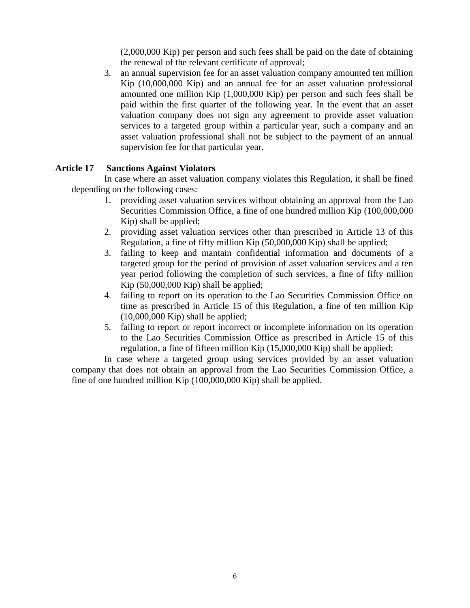(2,000,000 Kip) per person and such fees shall be paid on the date of obtaining the renewal of the relevant certificate of approval;

3. an annual supervision fee for an asset valuation company amounted ten million Kip (10,000,000 Kip) and an annual fee for an asset valuation professional amounted one million Kip (1,000,000 Kip) per person and such fees shall be paid within the first quarter of the following year. In the event that an asset valuation company does not sign any agreement to provide asset valuation services to a targeted group within a particular year, such a company and an asset valuation professional shall not be subject to the payment of an annual supervision fee for that particular year.

### **Article 17 Sanctions Against Violators**

In case where an asset valuation company violates this Regulation, it shall be fined depending on the following cases:

- 1. providing asset valuation services without obtaining an approval from the Lao Securities Commission Office, a fine of one hundred million Kip (100,000,000 Kip) shall be applied;
- 2. providing asset valuation services other than prescribed in Article 13 of this Regulation, a fine of fifty million Kip (50,000,000 Kip) shall be applied;
- 3. failing to keep and mantain confidential information and documents of a targeted group for the period of provision of asset valuation services and a ten year period following the completion of such services, a fine of fifty million Kip (50,000,000 Kip) shall be applied;
- 4. failing to report on its operation to the Lao Securities Commission Office on time as prescribed in Article 15 of this Regulation, a fine of ten million Kip  $(10,000,000$  Kip) shall be applied;
- 5. failing to report or report incorrect or incomplete information on its operation to the Lao Securities Commission Office as prescribed in Article 15 of this regulation, a fine of fifteen million Kip (15,000,000 Kip) shall be applied;

In case where a targeted group using services provided by an asset valuation company that does not obtain an approval from the Lao Securities Commission Office, a fine of one hundred million Kip (100,000,000 Kip) shall be applied.